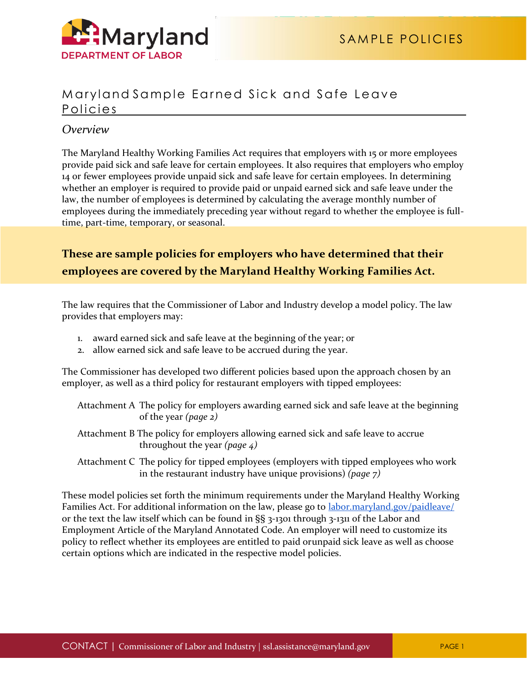

## Maryland Sample Earned Sick and Safe Leave Policies

## *Overview*

The Maryland Healthy Working Families Act requires that employers with 15 or more employees provide paid sick and safe leave for certain employees. It also requires that employers who employ 14 or fewer employees provide unpaid sick and safe leave for certain employees. In determining whether an employer is required to provide paid or unpaid earned sick and safe leave under the law, the number of employees is determined by calculating the average monthly number of employees during the immediately preceding year without regard to whether the employee is fulltime, part-time, temporary, or seasonal.

# **These are sample policies for employers who have determined that their employees are covered by the Maryland Healthy Working Families Act.**

The law requires that the Commissioner of Labor and Industry develop a model policy. The law provides that employers may:

- 1. award earned sick and safe leave at the beginning of the year; or
- 2. allow earned sick and safe leave to be accrued during the year.

The Commissioner has developed two different policies based upon the approach chosen by an employer, as well as a third policy for restaurant employers with tipped employees:

- Attachment A The policy for employers awarding earned sick and safe leave at the beginning of the year *(page 2)*
- Attachment B The policy for employers allowing earned sick and safe leave to accrue throughout the year *(page 4)*
- Attachment C The policy for tipped employees (employers with tipped employees who work in the restaurant industry have unique provisions) *(page 7)*

These model policies set forth the minimum requirements under the Maryland Healthy Working Families Act. For additional information on the law, please go to [labor.maryland.gov/paidleave/](http://www.dllr.state.md.us/paidleave/) or the text the law itself which can be found in §§ 3-1301 through 3-1311 of the Labor and Employment Article of the Maryland Annotated Code. An employer will need to customize its policy to reflect whether its employees are entitled to paid orunpaid sick leave as well as choose certain options which are indicated in the respective model policies.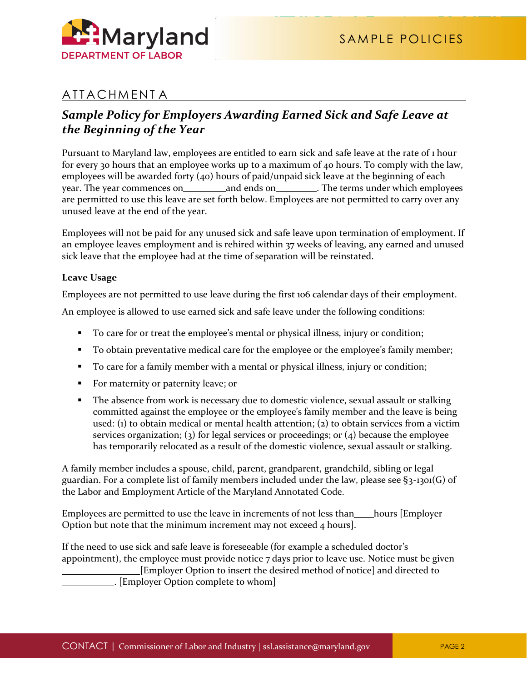

# ATTACHMENT A

# *Sample Policy for Employers Awarding Earned Sick and Safe Leave at the Beginning of the Year*

Pursuant to Maryland law, employees are entitled to earn sick and safe leave at the rate of 1 hour for every 30 hours that an employee works up to a maximum of 40 hours. To comply with the law, employees will be awarded forty (40) hours of paid/unpaid sick leave at the beginning of each year. The year commences on and ends on the terms under which employees are permitted to use this leave are set forth below. Employees are not permitted to carry over any unused leave at the end of the year.

Employees will not be paid for any unused sick and safe leave upon termination of employment. If an employee leaves employment and is rehired within 37 weeks of leaving, any earned and unused sick leave that the employee had at the time of separation will be reinstated.

## **Leave Usage**

Employees are not permitted to use leave during the first 106 calendar days of their employment.

An employee is allowed to use earned sick and safe leave under the following conditions:

- To care for or treat the employee's mental or physical illness, injury or condition;
- To obtain preventative medical care for the employee or the employee's family member;
- To care for a family member with a mental or physical illness, injury or condition;
- For maternity or paternity leave; or
- The absence from work is necessary due to domestic violence, sexual assault or stalking committed against the employee or the employee's family member and the leave is being used: (1) to obtain medical or mental health attention; (2) to obtain services from a victim services organization; (3) for legal services or proceedings; or (4) because the employee has temporarily relocated as a result of the domestic violence, sexual assault or stalking.

A family member includes a spouse, child, parent, grandparent, grandchild, sibling or legal guardian. For a complete list of family members included under the law, please see  $\S_3$ -1301(G) of the Labor and Employment Article of the Maryland Annotated Code.

Employees are permitted to use the leave in increments of not less than hours [Employer] Option but note that the minimum increment may not exceed 4 hours].

If the need to use sick and safe leave is foreseeable (for example a scheduled doctor's appointment), the employee must provide notice  $7$  days prior to leave use. Notice must be given [Employer Option to insert the desired method of notice] and directed to . [Employer Option complete to whom]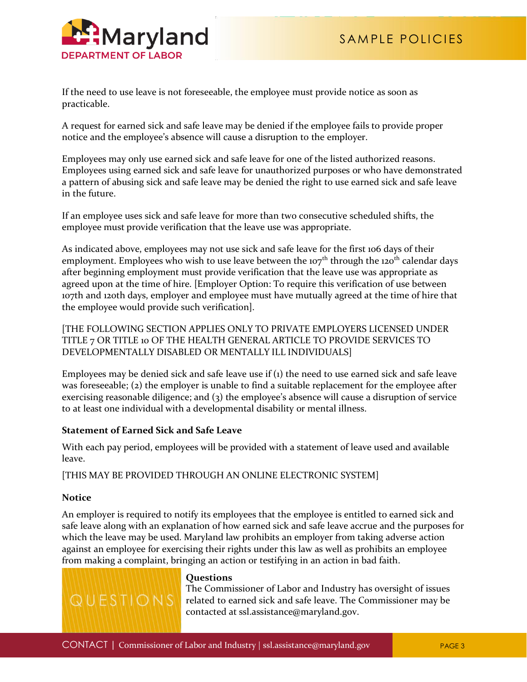

If the need to use leave is not foreseeable, the employee must provide notice as soon as practicable.

A request for earned sick and safe leave may be denied if the employee fails to provide proper notice and the employee's absence will cause a disruption to the employer.

Employees may only use earned sick and safe leave for one of the listed authorized reasons. Employees using earned sick and safe leave for unauthorized purposes or who have demonstrated a pattern of abusing sick and safe leave may be denied the right to use earned sick and safe leave in the future.

If an employee uses sick and safe leave for more than two consecutive scheduled shifts, the employee must provide verification that the leave use was appropriate.

As indicated above, employees may not use sick and safe leave for the first 106 days of their employment. Employees who wish to use leave between the  $107<sup>th</sup>$  through the  $120<sup>th</sup>$  calendar days after beginning employment must provide verification that the leave use was appropriate as agreed upon at the time of hire. [Employer Option: To require this verification of use between 107th and 120th days, employer and employee must have mutually agreed at the time of hire that the employee would provide such verification].

[THE FOLLOWING SECTION APPLIES ONLY TO PRIVATE EMPLOYERS LICENSED UNDER TITLE 7 OR TITLE 10 OF THE HEALTH GENERAL ARTICLE TO PROVIDE SERVICES TO DEVELOPMENTALLY DISABLED OR MENTALLY ILL INDIVIDUALS]

Employees may be denied sick and safe leave use if (1) the need to use earned sick and safe leave was foreseeable; (2) the employer is unable to find a suitable replacement for the employee after exercising reasonable diligence; and (3) the employee's absence will cause a disruption of service to at least one individual with a developmental disability or mental illness.

## **Statement of Earned Sick and Safe Leave**

With each pay period, employees will be provided with a statement of leave used and available leave.

[THIS MAY BE PROVIDED THROUGH AN ONLINE ELECTRONIC SYSTEM]

### **Notice**

An employer is required to notify its employees that the employee is entitled to earned sick and safe leave along with an explanation of how earned sick and safe leave accrue and the purposes for which the leave may be used. Maryland law prohibits an employer from taking adverse action against an employee for exercising their rights under this law as well as prohibits an employee from making a complaint, bringing an action or testifying in an action in bad faith.



### **Questions**

The Commissioner of Labor and Industry has oversight of issues related to earned sick and safe leave. The Commissioner may be contacted at [ssl.assistance@maryland.gov.](mailto:ssl.assistance@maryland.gov)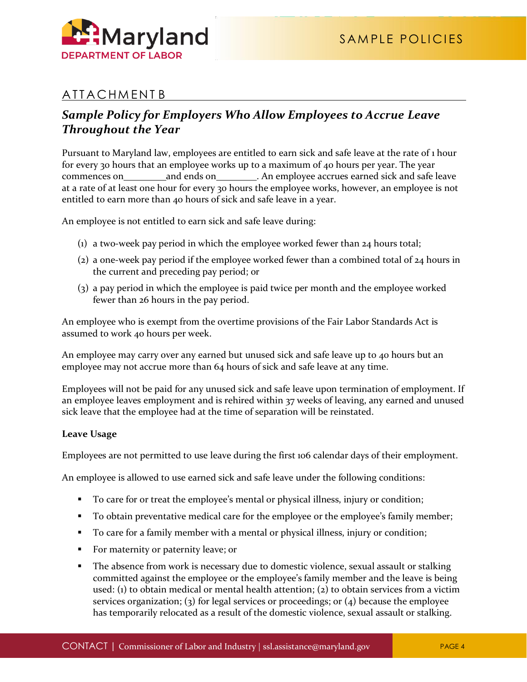# **ATTACHMENTB**

# *Sample Policy for Employers Who Allow Employees to Accrue Leave Throughout the Year*

Pursuant to Maryland law, employees are entitled to earn sick and safe leave at the rate of 1 hour for every 30 hours that an employee works up to a maximum of 40 hours per year. The year commences on and ends on **and ends on** An employee accrues earned sick and safe leave at a rate of at least one hour for every 30 hours the employee works, however, an employee is not entitled to earn more than 40 hours of sick and safe leave in a year.

An employee is not entitled to earn sick and safe leave during:

- (1) a two-week pay period in which the employee worked fewer than 24 hours total;
- (2) a one-week pay period if the employee worked fewer than a combined total of 24 hours in the current and preceding pay period; or
- (3) a pay period in which the employee is paid twice per month and the employee worked fewer than 26 hours in the pay period.

An employee who is exempt from the overtime provisions of the Fair Labor Standards Act is assumed to work 40 hours per week.

An employee may carry over any earned but unused sick and safe leave up to 40 hours but an employee may not accrue more than 64 hours of sick and safe leave at any time.

Employees will not be paid for any unused sick and safe leave upon termination of employment. If an employee leaves employment and is rehired within 37 weeks of leaving, any earned and unused sick leave that the employee had at the time of separation will be reinstated.

## **Leave Usage**

Employees are not permitted to use leave during the first 106 calendar days of their employment.

An employee is allowed to use earned sick and safe leave under the following conditions:

- To care for or treat the employee's mental or physical illness, injury or condition;
- To obtain preventative medical care for the employee or the employee's family member;
- To care for a family member with a mental or physical illness, injury or condition;
- For maternity or paternity leave; or
- **The absence from work is necessary due to domestic violence, sexual assault or stalking** committed against the employee or the employee's family member and the leave is being used: (1) to obtain medical or mental health attention; (2) to obtain services from a victim services organization; (3) for legal services or proceedings; or  $(4)$  because the employee has temporarily relocated as a result of the domestic violence, sexual assault or stalking.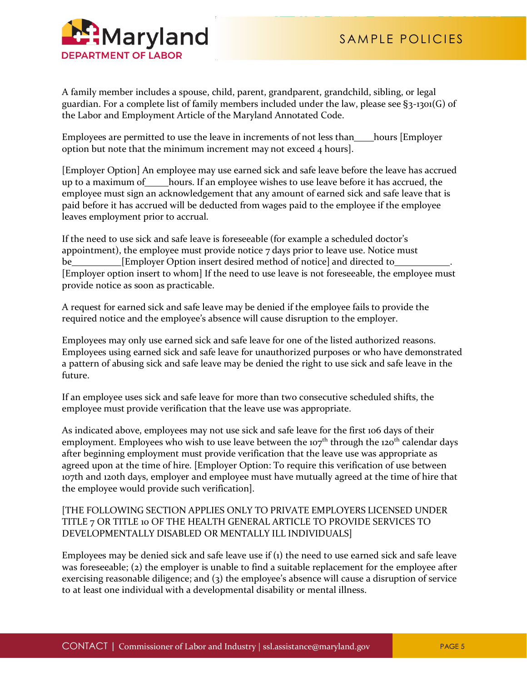

A family member includes a spouse, child, parent, grandparent, grandchild, sibling, or legal guardian. For a complete list of family members included under the law, please see  $\S_3$ -1301(G) of the Labor and Employment Article of the Maryland Annotated Code.

Employees are permitted to use the leave in increments of not less than hours [Employer] option but note that the minimum increment may not exceed 4 hours].

[Employer Option] An employee may use earned sick and safe leave before the leave has accrued up to a maximum of hours. If an employee wishes to use leave before it has accrued, the employee must sign an acknowledgement that any amount of earned sick and safe leave that is paid before it has accrued will be deducted from wages paid to the employee if the employee leaves employment prior to accrual.

If the need to use sick and safe leave is foreseeable (for example a scheduled doctor's appointment), the employee must provide notice  $7$  days prior to leave use. Notice must be *Employer Option insert desired method of notice] and directed to* [Employer option insert to whom] If the need to use leave is not foreseeable, the employee must provide notice as soon as practicable.

A request for earned sick and safe leave may be denied if the employee fails to provide the required notice and the employee's absence will cause disruption to the employer.

Employees may only use earned sick and safe leave for one of the listed authorized reasons. Employees using earned sick and safe leave for unauthorized purposes or who have demonstrated a pattern of abusing sick and safe leave may be denied the right to use sick and safe leave in the future.

If an employee uses sick and safe leave for more than two consecutive scheduled shifts, the employee must provide verification that the leave use was appropriate.

As indicated above, employees may not use sick and safe leave for the first 106 days of their employment. Employees who wish to use leave between the  $107<sup>th</sup>$  through the  $120<sup>th</sup>$  calendar days after beginning employment must provide verification that the leave use was appropriate as agreed upon at the time of hire. [Employer Option: To require this verification of use between 107th and 120th days, employer and employee must have mutually agreed at the time of hire that the employee would provide such verification].

## [THE FOLLOWING SECTION APPLIES ONLY TO PRIVATE EMPLOYERS LICENSED UNDER TITLE 7 OR TITLE 10 OF THE HEALTH GENERAL ARTICLE TO PROVIDE SERVICES TO DEVELOPMENTALLY DISABLED OR MENTALLY ILL INDIVIDUALS]

Employees may be denied sick and safe leave use if (1) the need to use earned sick and safe leave was foreseeable; (2) the employer is unable to find a suitable replacement for the employee after exercising reasonable diligence; and (3) the employee's absence will cause a disruption of service to at least one individual with a developmental disability or mental illness.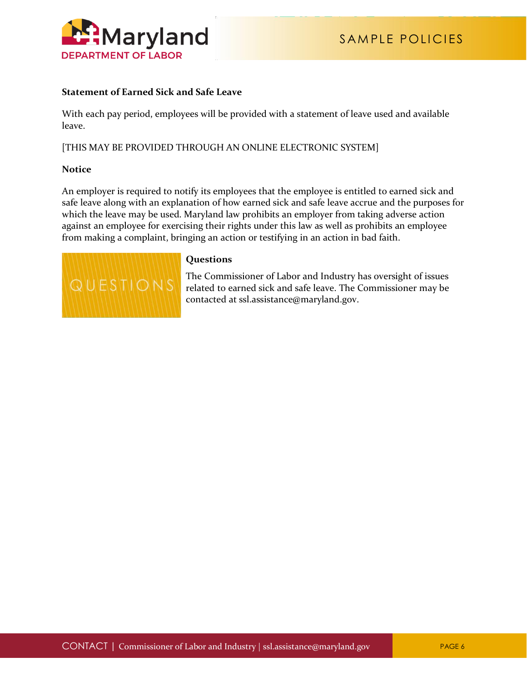

### **Statement of Earned Sick and Safe Leave**

With each pay period, employees will be provided with a statement of leave used and available leave.

[THIS MAY BE PROVIDED THROUGH AN ONLINE ELECTRONIC SYSTEM]

#### **Notice**

An employer is required to notify its employees that the employee is entitled to earned sick and safe leave along with an explanation of how earned sick and safe leave accrue and the purposes for which the leave may be used. Maryland law prohibits an employer from taking adverse action against an employee for exercising their rights under this law as well as prohibits an employee from making a complaint, bringing an action or testifying in an action in bad faith.



#### **Questions**

The Commissioner of Labor and Industry has oversight of issues related to earned sick and safe leave. The Commissioner may be contacted at [ssl.assistance@maryland.gov.](mailto:ssl.assistance@maryland.gov)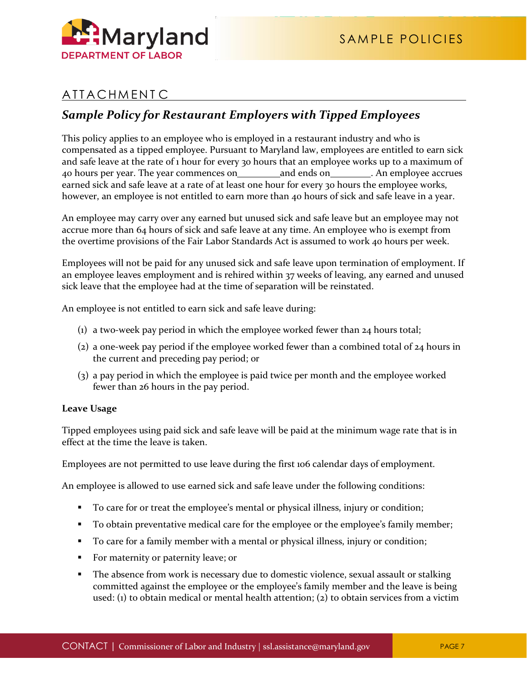

# **ATTACHMENTC**

## *Sample Policy for Restaurant Employers with Tipped Employees*

This policy applies to an employee who is employed in a restaurant industry and who is compensated as a tipped employee. Pursuant to Maryland law, employees are entitled to earn sick and safe leave at the rate of 1 hour for every 30 hours that an employee works up to a maximum of 40 hours per year. The year commences on and ends on . An employee accrues earned sick and safe leave at a rate of at least one hour for every 30 hours the employee works, however, an employee is not entitled to earn more than 40 hours of sick and safe leave in a year.

An employee may carry over any earned but unused sick and safe leave but an employee may not accrue more than 64 hours of sick and safe leave at any time. An employee who is exempt from the overtime provisions of the Fair Labor Standards Act is assumed to work 40 hours per week.

Employees will not be paid for any unused sick and safe leave upon termination of employment. If an employee leaves employment and is rehired within 37 weeks of leaving, any earned and unused sick leave that the employee had at the time of separation will be reinstated.

An employee is not entitled to earn sick and safe leave during:

- (1) a two-week pay period in which the employee worked fewer than 24 hours total;
- (2) a one-week pay period if the employee worked fewer than a combined total of 24 hours in the current and preceding pay period; or
- (3) a pay period in which the employee is paid twice per month and the employee worked fewer than 26 hours in the pay period.

### **Leave Usage**

Tipped employees using paid sick and safe leave will be paid at the minimum wage rate that is in effect at the time the leave is taken.

Employees are not permitted to use leave during the first 106 calendar days of employment.

An employee is allowed to use earned sick and safe leave under the following conditions:

- To care for or treat the employee's mental or physical illness, injury or condition;
- To obtain preventative medical care for the employee or the employee's family member;
- To care for a family member with a mental or physical illness, injury or condition;
- For maternity or paternity leave; or
- **The absence from work is necessary due to domestic violence, sexual assault or stalking** committed against the employee or the employee's family member and the leave is being used: (1) to obtain medical or mental health attention; (2) to obtain services from a victim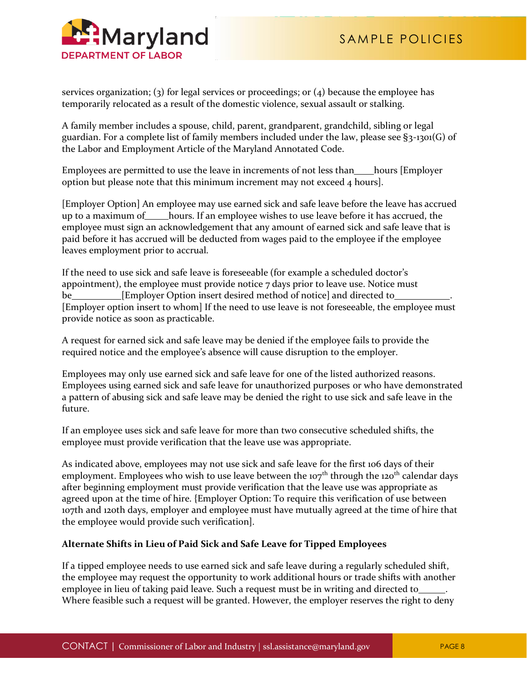

services organization; (3) for legal services or proceedings; or (4) because the employee has temporarily relocated as a result of the domestic violence, sexual assault or stalking.

A family member includes a spouse, child, parent, grandparent, grandchild, sibling or legal guardian. For a complete list of family members included under the law, please see §3-1301(G) of the Labor and Employment Article of the Maryland Annotated Code.

Employees are permitted to use the leave in increments of not less than hours [Employer] option but please note that this minimum increment may not exceed 4 hours].

[Employer Option] An employee may use earned sick and safe leave before the leave has accrued up to a maximum of hours. If an employee wishes to use leave before it has accrued, the employee must sign an acknowledgement that any amount of earned sick and safe leave that is paid before it has accrued will be deducted from wages paid to the employee if the employee leaves employment prior to accrual.

If the need to use sick and safe leave is foreseeable (for example a scheduled doctor's appointment), the employee must provide notice 7 days prior to leave use. Notice must be **EUR** [Employer Option insert desired method of notice] and directed to [Employer option insert to whom] If the need to use leave is not foreseeable, the employee must provide notice as soon as practicable.

A request for earned sick and safe leave may be denied if the employee fails to provide the required notice and the employee's absence will cause disruption to the employer.

Employees may only use earned sick and safe leave for one of the listed authorized reasons. Employees using earned sick and safe leave for unauthorized purposes or who have demonstrated a pattern of abusing sick and safe leave may be denied the right to use sick and safe leave in the future.

If an employee uses sick and safe leave for more than two consecutive scheduled shifts, the employee must provide verification that the leave use was appropriate.

As indicated above, employees may not use sick and safe leave for the first 106 days of their employment. Employees who wish to use leave between the  $107<sup>th</sup>$  through the  $120<sup>th</sup>$  calendar days after beginning employment must provide verification that the leave use was appropriate as agreed upon at the time of hire. {Employer Option: To require this verification of use between 107th and 120th days, employer and employee must have mutually agreed at the time of hire that the employee would provide such verification].

## **Alternate Shifts in Lieu of Paid Sick and Safe Leave for Tipped Employees**

If a tipped employee needs to use earned sick and safe leave during a regularly scheduled shift, the employee may request the opportunity to work additional hours or trade shifts with another employee in lieu of taking paid leave. Such a request must be in writing and directed to Where feasible such a request will be granted. However, the employer reserves the right to deny